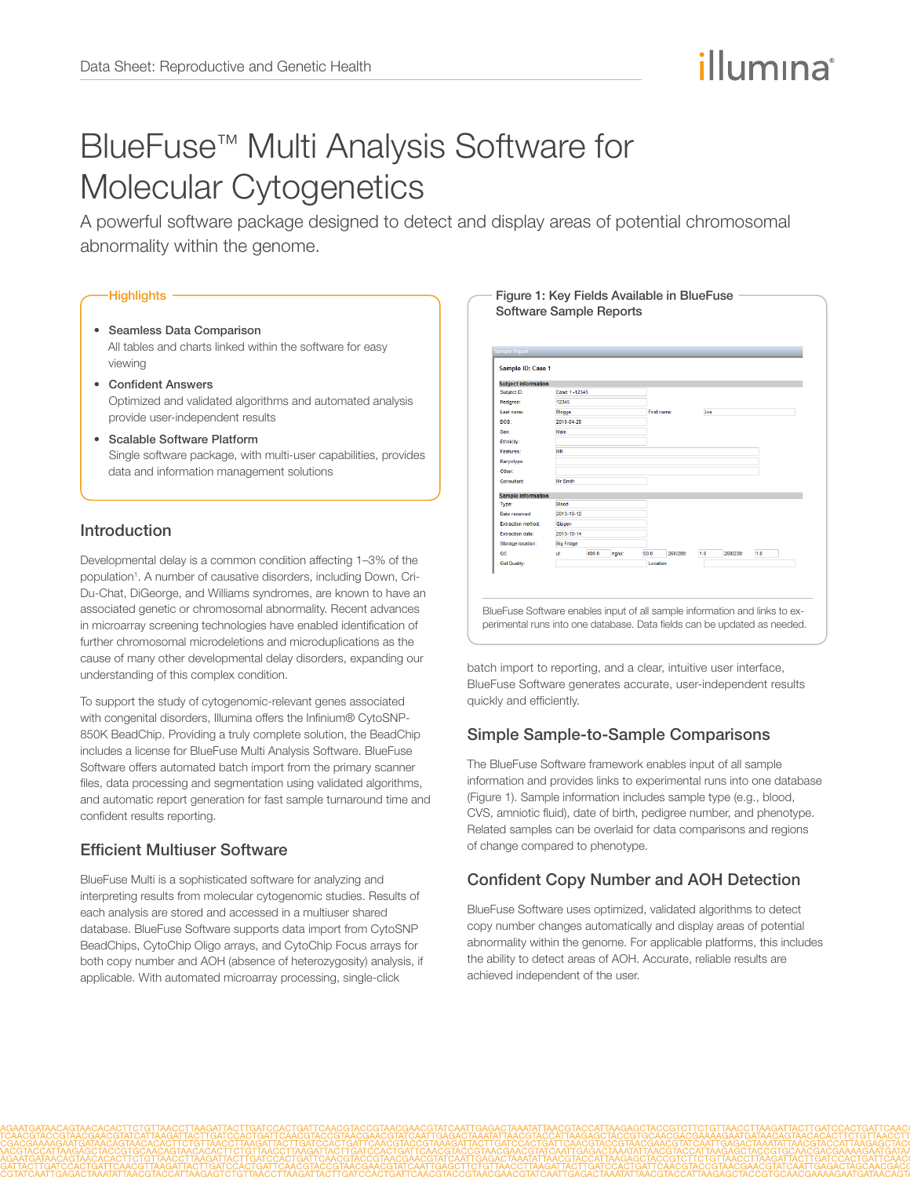# illumına

# BlueFuse™ Multi Analysis Software for Molecular Cytogenetics

A powerful software package designed to detect and display areas of potential chromosomal abnormality within the genome.

#### **Highlights**

- Seamless Data Comparison All tables and charts linked within the software for easy viewing
- Confident Answers Optimized and validated algorithms and automated analysis provide user-independent results
- Scalable Software Platform Single software package, with multi-user capabilities, provides data and information management solutions

## Introduction

Developmental delay is a common condition affecting 1–3% of the population<sup>1</sup>. A number of causative disorders, including Down, Cri-Du-Chat, DiGeorge, and Williams syndromes, are known to have an associated genetic or chromosomal abnormality. Recent advances in microarray screening technologies have enabled identification of further chromosomal microdeletions and microduplications as the cause of many other developmental delay disorders, expanding our understanding of this complex condition.

To support the study of cytogenomic-relevant genes associated with congenital disorders, Illumina offers the Infinium® CytoSNP-850K BeadChip. Providing a truly complete solution, the BeadChip includes a license for BlueFuse Multi Analysis Software. BlueFuse Software offers automated batch import from the primary scanner files, data processing and segmentation using validated algorithms, and automatic report generation for fast sample turnaround time and confident results reporting.

## Efficient Multiuser Software

BlueFuse Multi is a sophisticated software for analyzing and interpreting results from molecular cytogenomic studies. Results of each analysis are stored and accessed in a multiuser shared database. BlueFuse Software supports data import from CytoSNP BeadChips, CytoChip Oligo arrays, and CytoChip Focus arrays for both copy number and AOH (absence of heterozygosity) analysis, if applicable. With automated microarray processing, single-click



batch import to reporting, and a clear, intuitive user interface, BlueFuse Software generates accurate, user-independent results quickly and efficiently.

## Simple Sample-to-Sample Comparisons

The BlueFuse Software framework enables input of all sample information and provides links to experimental runs into one database (Figure 1). Sample information includes sample type (e.g., blood, CVS, amniotic fluid), date of birth, pedigree number, and phenotype. Related samples can be overlaid for data comparisons and regions of change compared to phenotype.

## Confident Copy Number and AOH Detection

BlueFuse Software uses optimized, validated algorithms to detect copy number changes automatically and display areas of potential abnormality within the genome. For applicable platforms, this includes the ability to detect areas of AOH. Accurate, reliable results are achieved independent of the user.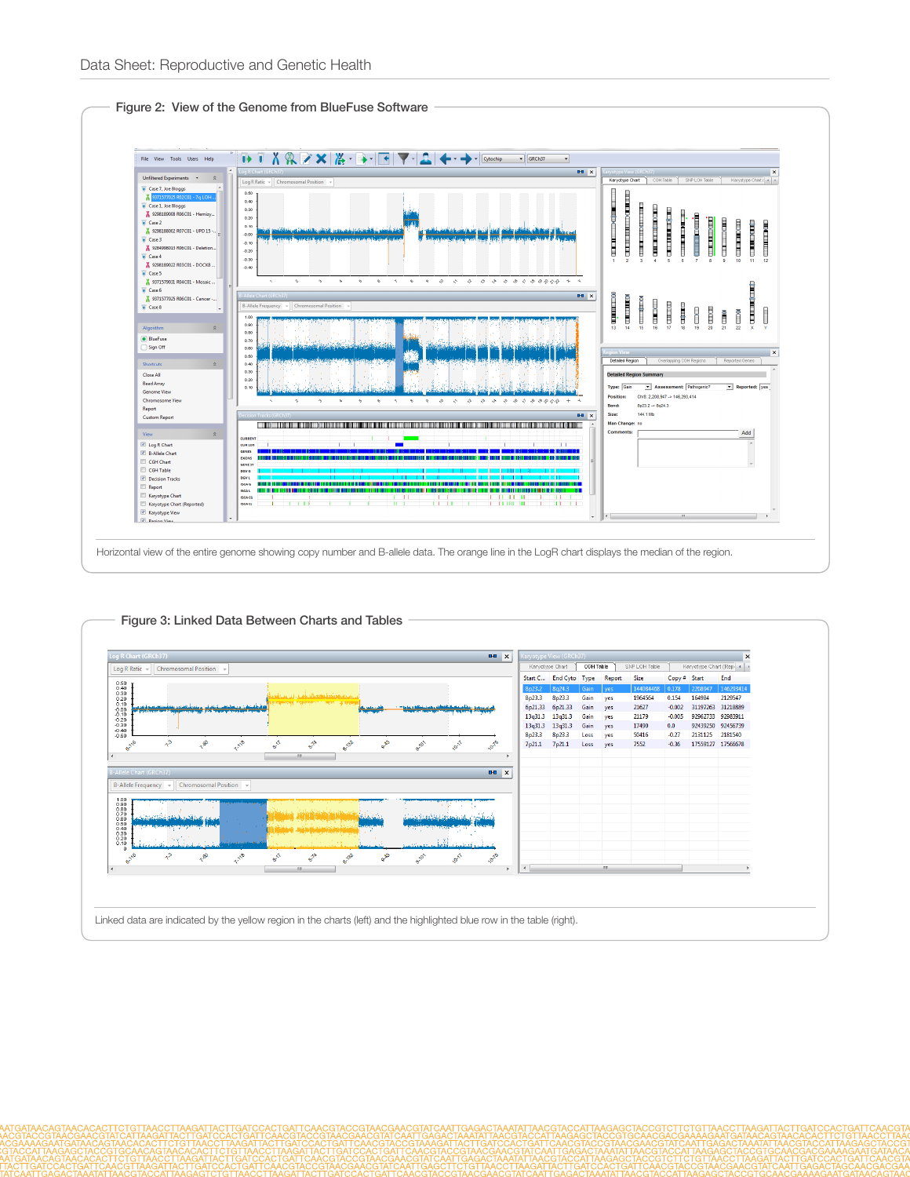

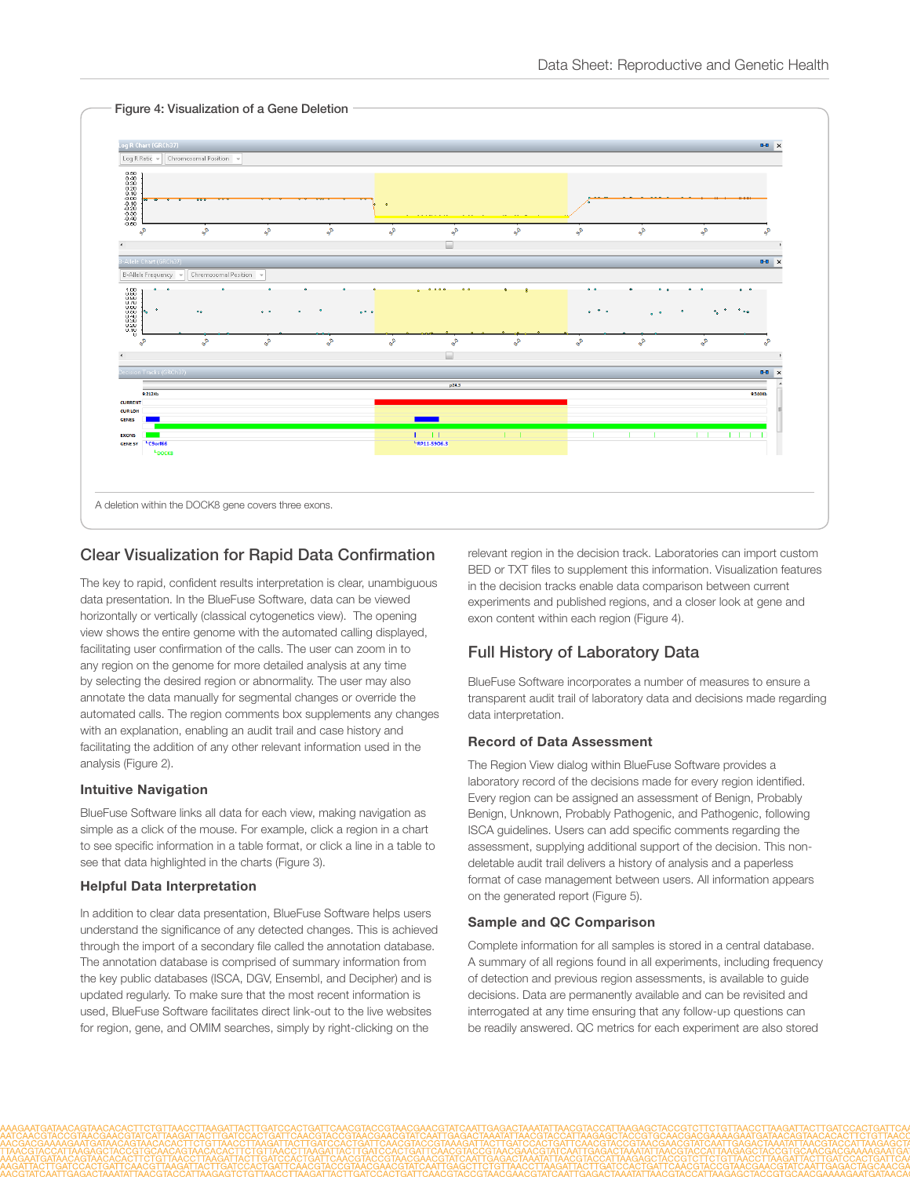

# Clear Visualization for Rapid Data Confirmation

The key to rapid, confident results interpretation is clear, unambiguous data presentation. In the BlueFuse Software, data can be viewed horizontally or vertically (classical cytogenetics view). The opening view shows the entire genome with the automated calling displayed, facilitating user confirmation of the calls. The user can zoom in to any region on the genome for more detailed analysis at any time by selecting the desired region or abnormality. The user may also annotate the data manually for segmental changes or override the automated calls. The region comments box supplements any changes with an explanation, enabling an audit trail and case history and facilitating the addition of any other relevant information used in the analysis (Figure 2).

#### Intuitive Navigation

BlueFuse Software links all data for each view, making navigation as simple as a click of the mouse. For example, click a region in a chart to see specific information in a table format, or click a line in a table to see that data highlighted in the charts (Figure 3).

#### Helpful Data Interpretation

In addition to clear data presentation, BlueFuse Software helps users understand the significance of any detected changes. This is achieved through the import of a secondary file called the annotation database. The annotation database is comprised of summary information from the key public databases (ISCA, DGV, Ensembl, and Decipher) and is updated regularly. To make sure that the most recent information is used, BlueFuse Software facilitates direct link-out to the live websites for region, gene, and OMIM searches, simply by right-clicking on the

relevant region in the decision track. Laboratories can import custom BED or TXT files to supplement this information. Visualization features in the decision tracks enable data comparison between current experiments and published regions, and a closer look at gene and exon content within each region (Figure 4).

# Full History of Laboratory Data

BlueFuse Software incorporates a number of measures to ensure a transparent audit trail of laboratory data and decisions made regarding data interpretation.

#### Record of Data Assessment

The Region View dialog within BlueFuse Software provides a laboratory record of the decisions made for every region identified. Every region can be assigned an assessment of Benign, Probably Benign, Unknown, Probably Pathogenic, and Pathogenic, following ISCA guidelines. Users can add specific comments regarding the assessment, supplying additional support of the decision. This nondeletable audit trail delivers a history of analysis and a paperless format of case management between users. All information appears on the generated report (Figure 5).

#### Sample and QC Comparison

Complete information for all samples is stored in a central database. A summary of all regions found in all experiments, including frequency of detection and previous region assessments, is available to guide decisions. Data are permanently available and can be revisited and interrogated at any time ensuring that any follow-up questions can be readily answered. QC metrics for each experiment are also stored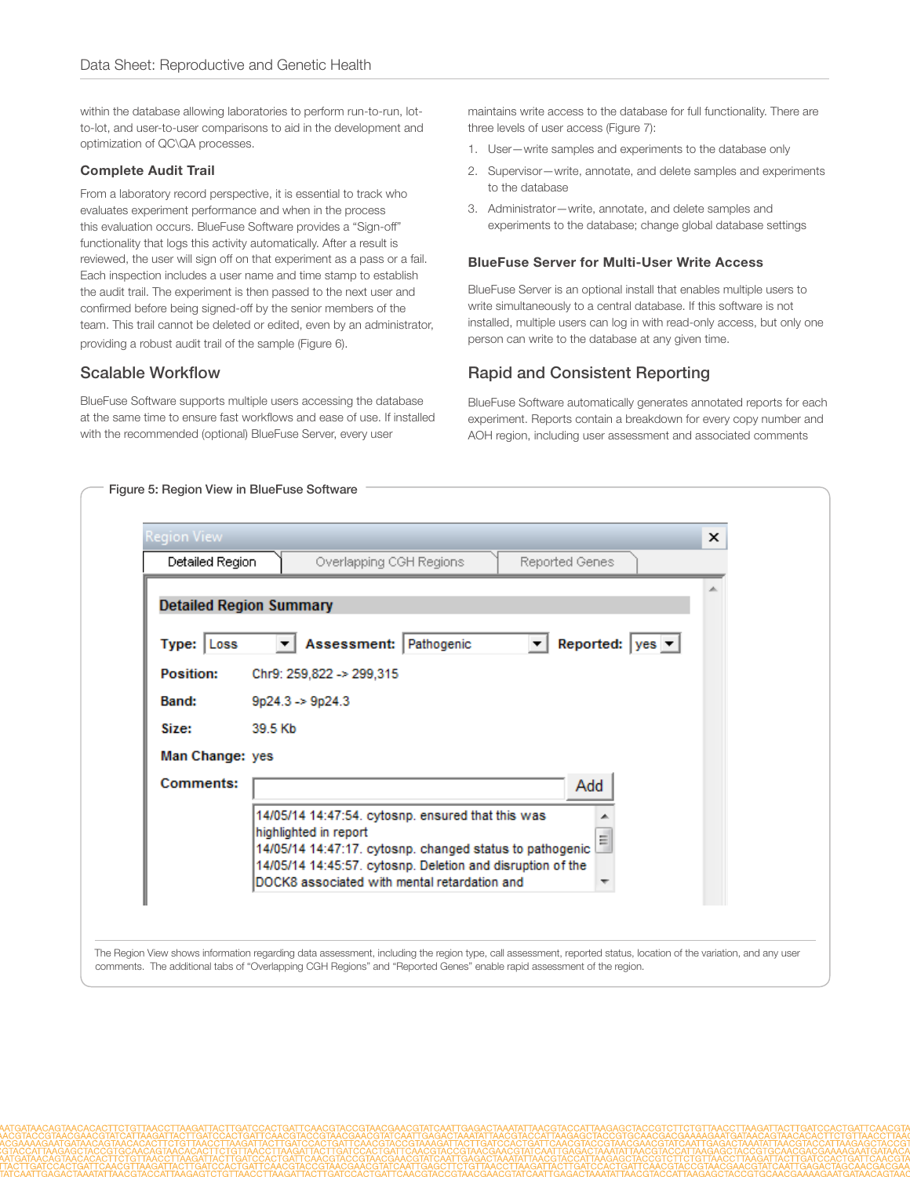within the database allowing laboratories to perform run-to-run, lotto-lot, and user-to-user comparisons to aid in the development and optimization of QC\QA processes.

#### Complete Audit Trail

From a laboratory record perspective, it is essential to track who evaluates experiment performance and when in the process this evaluation occurs. BlueFuse Software provides a "Sign-off" functionality that logs this activity automatically. After a result is reviewed, the user will sign off on that experiment as a pass or a fail. Each inspection includes a user name and time stamp to establish the audit trail. The experiment is then passed to the next user and confirmed before being signed-off by the senior members of the team. This trail cannot be deleted or edited, even by an administrator, providing a robust audit trail of the sample (Figure 6).

### Scalable Workflow

BlueFuse Software supports multiple users accessing the database at the same time to ensure fast workflows and ease of use. If installed with the recommended (optional) BlueFuse Server, every user

maintains write access to the database for full functionality. There are three levels of user access (Figure 7):

- 1. User—write samples and experiments to the database only
- 2. Supervisor—write, annotate, and delete samples and experiments to the database
- 3. Administrator—write, annotate, and delete samples and experiments to the database; change global database settings

#### BlueFuse Server for Multi-User Write Access

BlueFuse Server is an optional install that enables multiple users to write simultaneously to a central database. If this software is not installed, multiple users can log in with read-only access, but only one person can write to the database at any given time.

## Rapid and Consistent Reporting

BlueFuse Software automatically generates annotated reports for each experiment. Reports contain a breakdown for every copy number and AOH region, including user assessment and associated comments

| Detailed Region<br>Reported Genes<br>Overlapping CGH Regions                                                                                                                                                                                                   |  |
|----------------------------------------------------------------------------------------------------------------------------------------------------------------------------------------------------------------------------------------------------------------|--|
|                                                                                                                                                                                                                                                                |  |
|                                                                                                                                                                                                                                                                |  |
| <b>Detailed Region Summary</b>                                                                                                                                                                                                                                 |  |
| Assessment: Pathogenic<br>Reported: $ yes \rightharpoondown $<br>Type: Loss                                                                                                                                                                                    |  |
| Position:<br>Chr9: 259,822 -> 299,315                                                                                                                                                                                                                          |  |
| $9p24.3 \rightarrow 9p24.3$<br>Band:                                                                                                                                                                                                                           |  |
| Size:<br>39.5 Kb                                                                                                                                                                                                                                               |  |
| Man Change: yes                                                                                                                                                                                                                                                |  |
| Comments:<br>Add                                                                                                                                                                                                                                               |  |
| 14/05/14 14:47:54. cytosnp. ensured that this was<br>highlighted in report<br>틔<br>14/05/14 14:47:17. cytosnp. changed status to pathogenic<br>14/05/14 14:45:57. cytosnp. Deletion and disruption of the<br>DOCK8 associated with mental retardation and<br>٠ |  |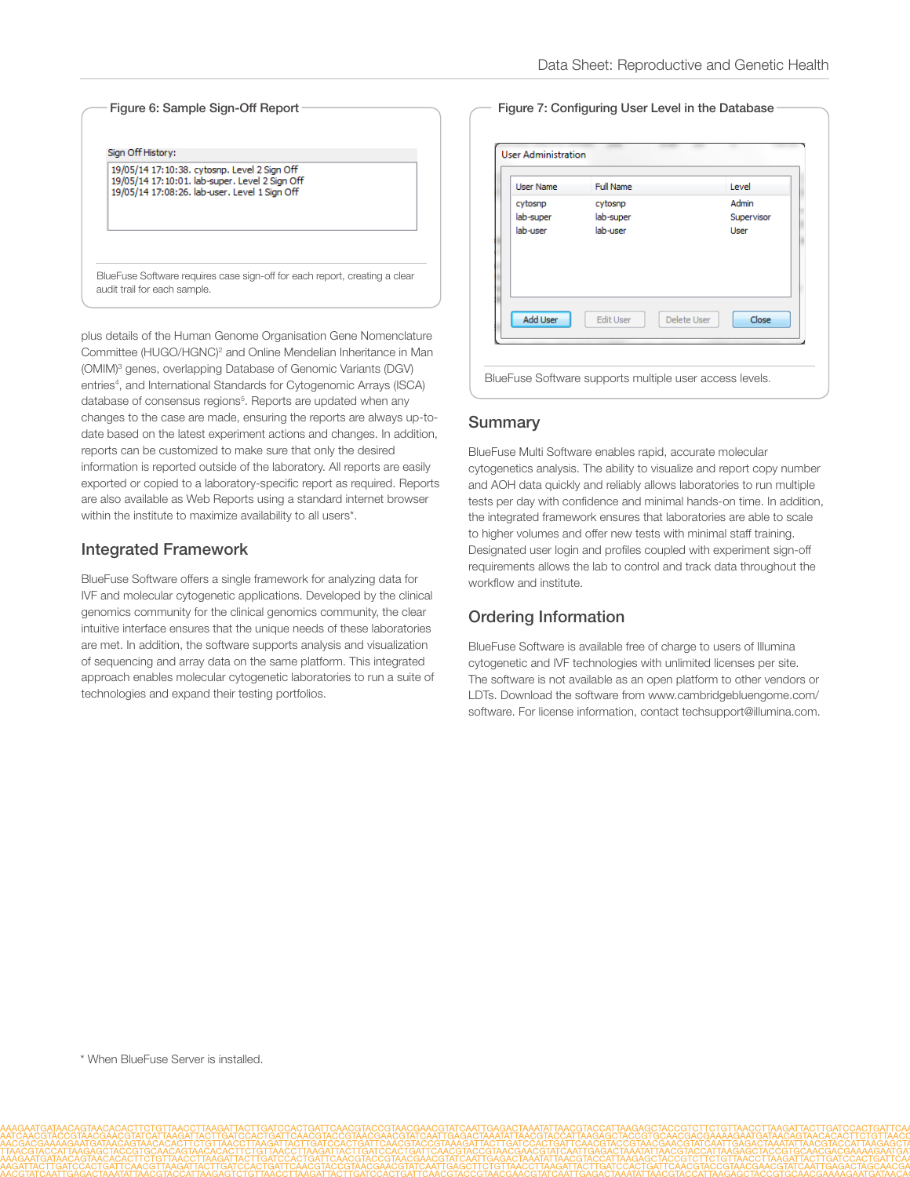Figure 6: Sample Sign-Off Report Sign Off History: 19/05/14 17:10:38. cytosnp. Level 2 Sign Off 19/05/14 17:10:01. lab-super. Level 2 Sign Off 19/05/14 17:08:26. lab-user. Level 1 Sign Off BlueFuse Software requires case sign-off for each report, creating a clear audit trail for each sample.

plus details of the Human Genome Organisation Gene Nomenclature Committee (HUGO/HGNC)<sup>2</sup> and Online Mendelian Inheritance in Man (OMIM)<sup>3</sup> genes, overlapping Database of Genomic Variants (DGV) entries<sup>4</sup>, and International Standards for Cytogenomic Arrays (ISCA) database of consensus regions<sup>5</sup>. Reports are updated when any changes to the case are made, ensuring the reports are always up-todate based on the latest experiment actions and changes. In addition, reports can be customized to make sure that only the desired information is reported outside of the laboratory. All reports are easily exported or copied to a laboratory-specific report as required. Reports are also available as Web Reports using a standard internet browser within the institute to maximize availability to all users\*.

## Integrated Framework

BlueFuse Software offers a single framework for analyzing data for IVF and molecular cytogenetic applications. Developed by the clinical genomics community for the clinical genomics community, the clear intuitive interface ensures that the unique needs of these laboratories are met. In addition, the software supports analysis and visualization of sequencing and array data on the same platform. This integrated approach enables molecular cytogenetic laboratories to run a suite of technologies and expand their testing portfolios.

#### Figure 7: Configuring User Level in the Database

| <b>User Name</b>                 | Full Name                        |             | Level                       |  |
|----------------------------------|----------------------------------|-------------|-----------------------------|--|
| cytosnp<br>lab-super<br>lab-user | cytosnp<br>lab-super<br>lab-user |             | Admin<br>Supervisor<br>User |  |
| <b>Add User</b>                  | <b>Edit User</b>                 | Delete User | Close                       |  |

#### Summary

BlueFuse Multi Software enables rapid, accurate molecular cytogenetics analysis. The ability to visualize and report copy number and AOH data quickly and reliably allows laboratories to run multiple tests per day with confidence and minimal hands-on time. In addition, the integrated framework ensures that laboratories are able to scale to higher volumes and offer new tests with minimal staff training. Designated user login and profiles coupled with experiment sign-off requirements allows the lab to control and track data throughout the workflow and institute.

## Ordering Information

BlueFuse Software is available free of charge to users of Illumina cytogenetic and IVF technologies with unlimited licenses per site. The software is not available as an open platform to other vendors or LDTs. Download the software from www.cambridgebluengome.com/ software. For license information, contact techsupport@illumina.com.